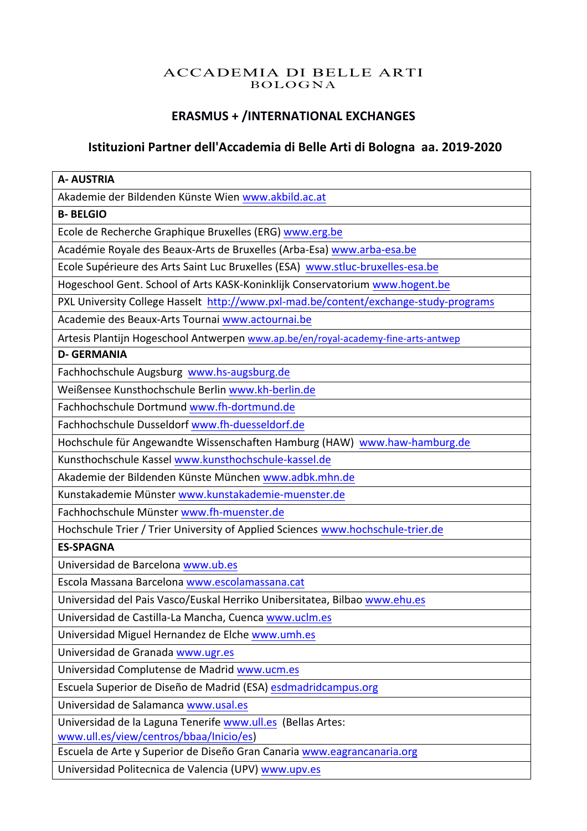# ACCADEMIA DI BELLE ARTI BOLOGNA

# **ERASMUS + /INTERNATIONAL EXCHANGES**

# **Istituzioni Partner dell'Accademia di Belle Arti di Bologna aa. 2019-2020**

| <b>A- AUSTRIA</b>                                                                    |
|--------------------------------------------------------------------------------------|
| Akademie der Bildenden Künste Wien www.akbild.ac.at                                  |
| <b>B-BELGIO</b>                                                                      |
| Ecole de Recherche Graphique Bruxelles (ERG) www.erg.be                              |
| Académie Royale des Beaux-Arts de Bruxelles (Arba-Esa) www.arba-esa.be               |
| Ecole Supérieure des Arts Saint Luc Bruxelles (ESA) www.stluc-bruxelles-esa.be       |
| Hogeschool Gent. School of Arts KASK-Koninklijk Conservatorium www.hogent.be         |
| PXL University College Hasselt http://www.pxl-mad.be/content/exchange-study-programs |
| Academie des Beaux-Arts Tournai www.actournai.be                                     |
| Artesis Plantijn Hogeschool Antwerpen www.ap.be/en/royal-academy-fine-arts-antwep    |
| <b>D- GERMANIA</b>                                                                   |
| Fachhochschule Augsburg www.hs-augsburg.de                                           |
| Weißensee Kunsthochschule Berlin www.kh-berlin.de                                    |
| Fachhochschule Dortmund www.fh-dortmund.de                                           |
| Fachhochschule Dusseldorf www.fh-duesseldorf.de                                      |
| Hochschule für Angewandte Wissenschaften Hamburg (HAW) www.haw-hamburg.de            |
| Kunsthochschule Kassel www.kunsthochschule-kassel.de                                 |
| Akademie der Bildenden Künste München www.adbk.mhn.de                                |
| Kunstakademie Münster www.kunstakademie-muenster.de                                  |
| Fachhochschule Münster www.fh-muenster.de                                            |
| Hochschule Trier / Trier University of Applied Sciences www.hochschule-trier.de      |
| <b>ES-SPAGNA</b>                                                                     |
| Universidad de Barcelona www.ub.es                                                   |
| Escola Massana Barcelona www.escolamassana.cat                                       |
| Universidad del Pais Vasco/Euskal Herriko Unibersitatea, Bilbao www.ehu.es           |
| Universidad de Castilla-La Mancha, Cuenca www.uclm.es                                |
| Universidad Miguel Hernandez de Elche www.umh.es                                     |
| Universidad de Granada www.ugr.es                                                    |
| Universidad Complutense de Madrid www.ucm.es                                         |
| Escuela Superior de Diseño de Madrid (ESA) esdmadridcampus.org                       |
| Universidad de Salamanca www.usal.es                                                 |
| Universidad de la Laguna Tenerife www.ull.es (Bellas Artes:                          |
| www.ull.es/view/centros/bbaa/Inicio/es)                                              |
| Escuela de Arte y Superior de Diseño Gran Canaria www.eagrancanaria.org              |
| Universidad Politecnica de Valencia (UPV) www.upv.es                                 |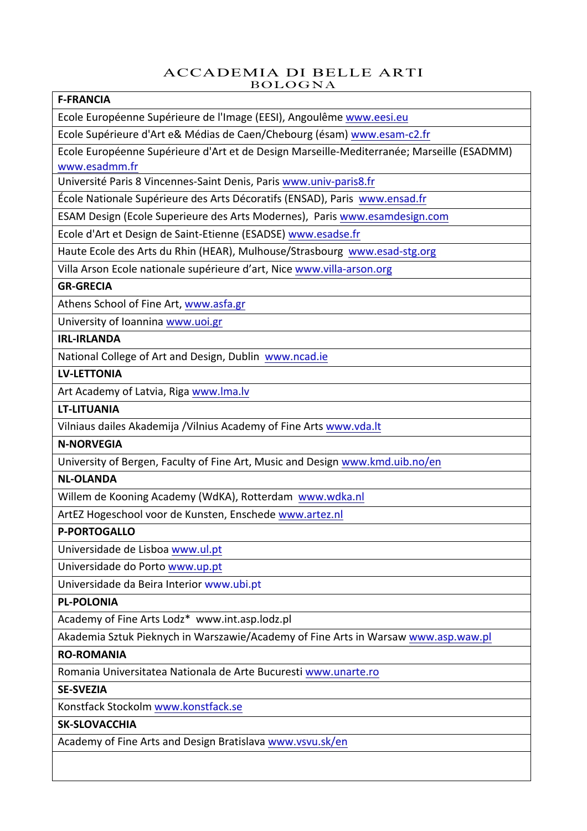#### ACCADEMIA DI BELLE ARTI BOLOGNA

#### **F-FRANCIA**

Ecole Européenne Supérieure de l'Image (EESI), Angoulême www.eesi.eu

Ecole Supérieure d'Art e& Médias de Caen/Chebourg (ésam) www.esam-c2.fr

Ecole Européenne Supérieure d'Art et de Design Marseille-Mediterranée: Marseille (ESADMM) www.esadmm.fr

Université Paris 8 Vincennes-Saint Denis, Paris www.univ-paris8.fr

École Nationale Supérieure des Arts Décoratifs (ENSAD), Paris www.ensad.fr

ESAM Design (Ecole Superieure des Arts Modernes), Paris www.esamdesign.com

Ecole d'Art et Design de Saint-Etienne (ESADSE) www.esadse.fr

Haute Ecole des Arts du Rhin (HEAR), Mulhouse/Strasbourg www.esad-stg.org

Villa Arson Ecole nationale supérieure d'art, Nice www.villa-arson.org

#### **GR-GRECIA**

Athens School of Fine Art, www.asfa.gr

University of Ioannina www.uoi.gr

## **IRL-IRLANDA**

National College of Art and Design, Dublin www.ncad.ie

#### **LV-LETTONIA**

Art Academy of Latvia, Riga www.lma.lv

#### **LT-LITUANIA**

Vilniaus dailes Akademija /Vilnius Academy of Fine Arts www.vda.lt

## **N-NORVEGIA**

University of Bergen, Faculty of Fine Art, Music and Design www.kmd.uib.no/en

#### **NL-OLANDA**

Willem de Kooning Academy (WdKA), Rotterdam www.wdka.nl

ArtEZ Hogeschool voor de Kunsten, Enschede www.artez.nl

#### **P-PORTOGALLO**

Universidade de Lisboa www.ul.pt

Universidade do Porto www.up.pt

Universidade da Beira Interior www.ubi.pt

#### **PL-POLONIA**

Academy of Fine Arts Lodz\* www.int.asp.lodz.pl

Akademia Sztuk Pieknych in Warszawie/Academy of Fine Arts in Warsaw www.asp.waw.pl

#### **RO-ROMANIA**

Romania Universitatea Nationala de Arte Bucuresti www.unarte.ro

#### **SE-SVEZIA**

Konstfack Stockolm www.konstfack.se

#### **SK-SLOVACCHIA**

Academy of Fine Arts and Design Bratislava www.vsvu.sk/en